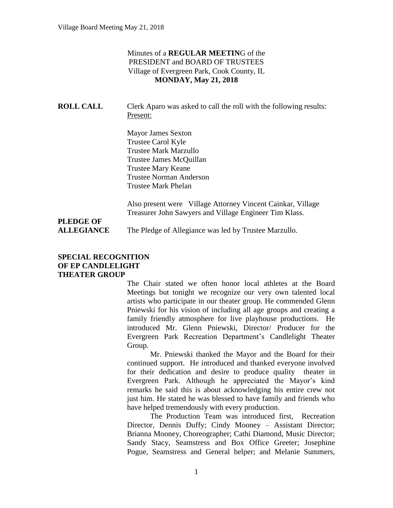#### Minutes of a **REGULAR MEETIN**G of the PRESIDENT and BOARD OF TRUSTEES Village of Evergreen Park, Cook County, IL **MONDAY, May 21, 2018**

| <b>ROLL CALL</b> | Clerk Aparo was asked to call the roll with the following results: |
|------------------|--------------------------------------------------------------------|
|                  | Present:                                                           |

Mayor James Sexton Trustee Carol Kyle Trustee Mark Marzullo Trustee James McQuillan Trustee Mary Keane Trustee Norman Anderson Trustee Mark Phelan

Also present were Village Attorney Vincent Cainkar, Village Treasurer John Sawyers and Village Engineer Tim Klass.

# **PLEDGE OF**

**ALLEGIANCE** The Pledge of Allegiance was led by Trustee Marzullo.

#### **SPECIAL RECOGNITION OF EP CANDLELIGHT THEATER GROUP**

The Chair stated we often honor local athletes at the Board Meetings but tonight we recognize our very own talented local artists who participate in our theater group. He commended Glenn Pniewski for his vision of including all age groups and creating a family friendly atmosphere for live playhouse productions. He introduced Mr. Glenn Pniewski, Director/ Producer for the Evergreen Park Recreation Department's Candlelight Theater Group.

Mr. Pniewski thanked the Mayor and the Board for their continued support. He introduced and thanked everyone involved for their dedication and desire to produce quality theater in Evergreen Park. Although he appreciated the Mayor's kind remarks he said this is about acknowledging his entire crew not just him. He stated he was blessed to have family and friends who have helped tremendously with every production.

The Production Team was introduced first, Recreation Director, Dennis Duffy; Cindy Mooney – Assistant Director; Brianna Mooney, Choreographer; Cathi Diamond, Music Director; Sandy Stacy, Seamstress and Box Office Greeter; Josephine Pogue, Seamstress and General helper; and Melanie Summers,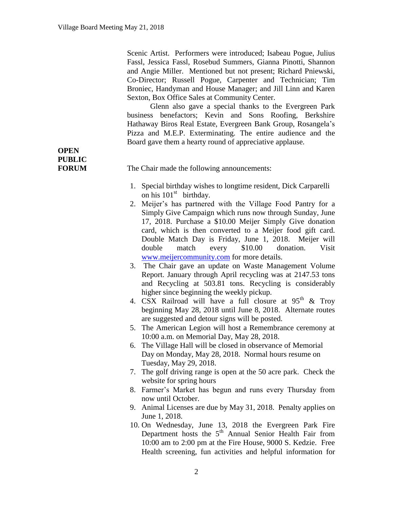Scenic Artist. Performers were introduced; Isabeau Pogue, Julius Fassl, Jessica Fassl, Rosebud Summers, Gianna Pinotti, Shannon and Angie Miller. Mentioned but not present; Richard Pniewski, Co-Director; Russell Pogue, Carpenter and Technician; Tim Broniec, Handyman and House Manager; and Jill Linn and Karen Sexton, Box Office Sales at Community Center.

Glenn also gave a special thanks to the Evergreen Park business benefactors; Kevin and Sons Roofing, Berkshire Hathaway Biros Real Estate, Evergreen Bank Group, Rosangela's Pizza and M.E.P. Exterminating. The entire audience and the Board gave them a hearty round of appreciative applause.

**OPEN PUBLIC**

**FORUM** The Chair made the following announcements:

- 1. Special birthday wishes to longtime resident, Dick Carparelli on his  $101<sup>st</sup>$  birthday.
- 2. Meijer's has partnered with the Village Food Pantry for a Simply Give Campaign which runs now through Sunday, June 17, 2018. Purchase a \$10.00 Meijer Simply Give donation card, which is then converted to a Meijer food gift card. Double Match Day is Friday, June 1, 2018. Meijer will double match every \$10.00 donation. Visit [www.meijercommunity.com](http://www.meijercommunity.com/) for more details.
- 3. The Chair gave an update on Waste Management Volume Report. January through April recycling was at 2147.53 tons and Recycling at 503.81 tons. Recycling is considerably higher since beginning the weekly pickup.
- 4. CSX Railroad will have a full closure at  $95<sup>th</sup>$  & Troy beginning May 28, 2018 until June 8, 2018. Alternate routes are suggested and detour signs will be posted.
- 5. The American Legion will host a Remembrance ceremony at 10:00 a.m. on Memorial Day, May 28, 2018.
- 6. The Village Hall will be closed in observance of Memorial Day on Monday, May 28, 2018. Normal hours resume on Tuesday, May 29, 2018.
- 7. The golf driving range is open at the 50 acre park. Check the website for spring hours
- 8. Farmer's Market has begun and runs every Thursday from now until October.
- 9. Animal Licenses are due by May 31, 2018. Penalty applies on June 1, 2018.
- 10. On Wednesday, June 13, 2018 the Evergreen Park Fire Department hosts the  $5<sup>th</sup>$  Annual Senior Health Fair from 10:00 am to 2:00 pm at the Fire House, 9000 S. Kedzie. Free Health screening, fun activities and helpful information for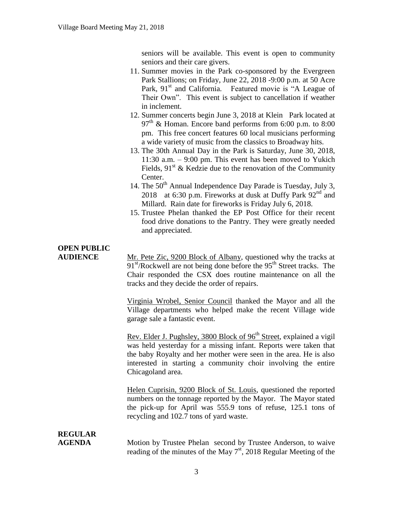seniors will be available. This event is open to community seniors and their care givers.

- 11. Summer movies in the Park co-sponsored by the Evergreen Park Stallions; on Friday, June 22, 2018 -9:00 p.m. at 50 Acre Park, 91<sup>st</sup> and California. Featured movie is "A League of Their Own". This event is subject to cancellation if weather in inclement.
- 12. Summer concerts begin June 3, 2018 at Klein Park located at  $97<sup>th</sup>$  & Homan. Encore band performs from 6:00 p.m. to 8:00 pm. This free concert features 60 local musicians performing a wide variety of music from the classics to Broadway hits.
- 13. The 30th Annual Day in the Park is Saturday, June 30, 2018, 11:30 a.m. – 9:00 pm. This event has been moved to Yukich Fields,  $91<sup>st</sup>$  & Kedzie due to the renovation of the Community Center.
- 14. The  $50<sup>th</sup>$  Annual Independence Day Parade is Tuesday, July 3, 2018 at 6:30 p.m. Fireworks at dusk at Duffy Park 92<sup>nd</sup> and Millard. Rain date for fireworks is Friday July 6, 2018.
- 15. Trustee Phelan thanked the EP Post Office for their recent food drive donations to the Pantry. They were greatly needed and appreciated.

| <b>OPEN PUBLIC</b>              |                                                                                                                                                                                                                                                                                                                 |
|---------------------------------|-----------------------------------------------------------------------------------------------------------------------------------------------------------------------------------------------------------------------------------------------------------------------------------------------------------------|
| <b>AUDIENCE</b>                 | Mr. Pete Zic, 9200 Block of Albany, questioned why the tracks at<br>$91st/Rockwell$ are not being done before the $95th$ Street tracks. The<br>Chair responded the CSX does routine maintenance on all the<br>tracks and they decide the order of repairs.                                                      |
|                                 | Virginia Wrobel, Senior Council thanked the Mayor and all the<br>Village departments who helped make the recent Village wide<br>garage sale a fantastic event.                                                                                                                                                  |
|                                 | Rev. Elder J. Pughsley, 3800 Block of 96 <sup>th</sup> Street, explained a vigil<br>was held yesterday for a missing infant. Reports were taken that<br>the baby Royalty and her mother were seen in the area. He is also<br>interested in starting a community choir involving the entire<br>Chicagoland area. |
|                                 | Helen Cuprisin, 9200 Block of St. Louis, questioned the reported<br>numbers on the tonnage reported by the Mayor. The Mayor stated<br>the pick-up for April was 555.9 tons of refuse, 125.1 tons of<br>recycling and 102.7 tons of yard waste.                                                                  |
| <b>REGULAR</b><br><b>AGENDA</b> | Motion by Trustee Phelan second by Trustee Anderson, to waive<br>reading of the minutes of the May $7st$ , 2018 Regular Meeting of the                                                                                                                                                                          |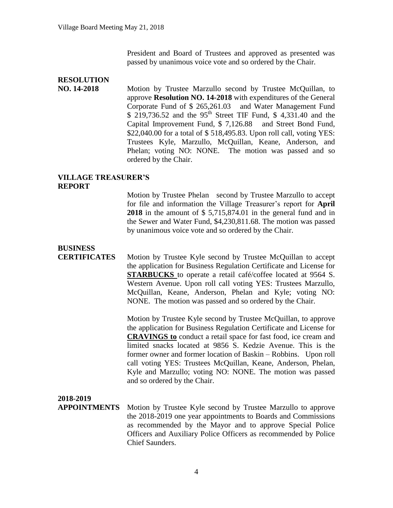President and Board of Trustees and approved as presented was passed by unanimous voice vote and so ordered by the Chair.

#### **RESOLUTION**

**NO. 14-2018** Motion by Trustee Marzullo second by Trustee McQuillan, to approve **Resolution NO. 14-2018** with expenditures of the General Corporate Fund of \$ 265,261.03 and Water Management Fund  $$ 219,736.52$  and the 95<sup>th</sup> Street TIF Fund, \$4,331.40 and the Capital Improvement Fund, \$ 7,126.88 and Street Bond Fund, \$22,040.00 for a total of \$ 518,495.83. Upon roll call, voting YES: Trustees Kyle, Marzullo, McQuillan, Keane, Anderson, and Phelan; voting NO: NONE. The motion was passed and so ordered by the Chair.

#### **VILLAGE TREASURER'S REPORT**

Motion by Trustee Phelan second by Trustee Marzullo to accept for file and information the Village Treasurer's report for **April 2018** in the amount of \$ 5,715,874.01 in the general fund and in the Sewer and Water Fund, \$4,230,811.68. The motion was passed by unanimous voice vote and so ordered by the Chair.

### **BUSINESS**

**CERTIFICATES** Motion by Trustee Kyle second by Trustee McQuillan to accept the application for Business Regulation Certificate and License for **STARBUCKS** to operate a retail café/coffee located at 9564 S. Western Avenue. Upon roll call voting YES: Trustees Marzullo, McQuillan, Keane, Anderson, Phelan and Kyle; voting NO: NONE. The motion was passed and so ordered by the Chair.

> Motion by Trustee Kyle second by Trustee McQuillan, to approve the application for Business Regulation Certificate and License for **CRAVINGS to** conduct a retail space for fast food, ice cream and limited snacks located at 9856 S. Kedzie Avenue. This is the former owner and former location of Baskin – Robbins. Upon roll call voting YES: Trustees McQuillan, Keane, Anderson, Phelan, Kyle and Marzullo; voting NO: NONE. The motion was passed and so ordered by the Chair.

#### **2018-2019**

**APPOINTMENTS** Motion by Trustee Kyle second by Trustee Marzullo to approve the 2018-2019 one year appointments to Boards and Commissions as recommended by the Mayor and to approve Special Police Officers and Auxiliary Police Officers as recommended by Police Chief Saunders.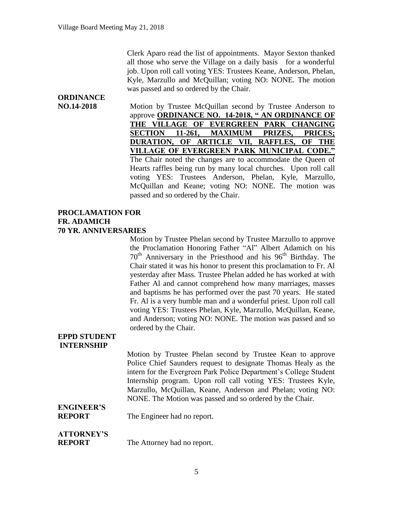Clerk Aparo read the list of appointments. Mayor Sexton thanked all those who serve the Village on a daily basis for a wonderful job. Upon roll call voting YES: Trustees Keane, Anderson, Phelan, Kyle, Marzullo and McQuillan; voting NO: NONE. The motion was passed and so ordered by the Chair.

## **ORDINANCE**

**NO.14-2018** Motion by Trustee McQuillan second by Trustee Anderson to approve **ORDINANCE NO. 14-2018, " AN ORDINANCE OF THE VILLAGE OF EVERGREEN PARK CHANGING SECTION 11-261, MAXIMUM PRIZES, PRICES; DURATION, OF ARTICLE VII, RAFFLES, OF THE VILLAGE OF EVERGREEN PARK MUNICIPAL CODE."** The Chair noted the changes are to accommodate the Queen of Hearts raffles being run by many local churches. Upon roll call voting YES: Trustees Anderson, Phelan, Kyle, Marzullo, McQuillan and Keane; voting NO: NONE. The motion was passed and so ordered by the Chair.

#### **PROCLAMATION FOR FR. ADAMICH 70 YR. ANNIVERSARIES**

Motion by Trustee Phelan second by Trustee Marzullo to approve the Proclamation Honoring Father "Al" Albert Adamich on his  $70<sup>th</sup>$  Anniversary in the Priesthood and his  $96<sup>th</sup>$  Birthday. The Chair stated it was his honor to present this proclamation to Fr. Al yesterday after Mass. Trustee Phelan added he has worked at with Father Al and cannot comprehend how many marriages, masses and baptisms he has performed over the past 70 years. He stated Fr. Al is a very humble man and a wonderful priest. Upon roll call voting YES: Trustees Phelan, Kyle, Marzullo, McQuillan, Keane, and Anderson; voting NO: NONE. The motion was passed and so ordered by the Chair.

#### **EPPD STUDENT INTERNSHIP**

Motion by Trustee Phelan second by Trustee Kean to approve Police Chief Saunders request to designate Thomas Healy as the intern for the Evergreen Park Police Department's College Student Internship program. Upon roll call voting YES: Trustees Kyle, Marzullo, McQuillan, Keane, Anderson and Phelan; voting NO: NONE. The Motion was passed and so ordered by the Chair.

## **ENGINEER'S**

**REPORT** The Engineer had no report.

## **ATTORNEY'S**

**REPORT** The Attorney had no report.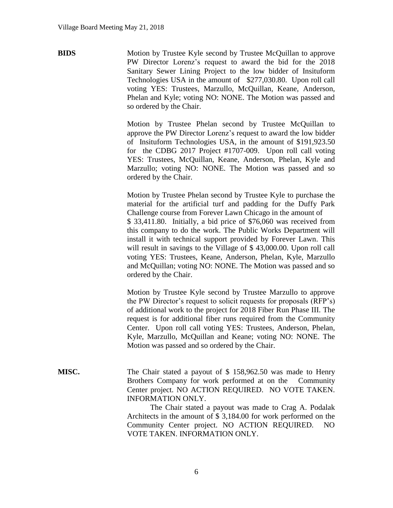**BIDS** Motion by Trustee Kyle second by Trustee McQuillan to approve PW Director Lorenz's request to award the bid for the 2018 Sanitary Sewer Lining Project to the low bidder of Insituform Technologies USA in the amount of \$277,030.80. Upon roll call voting YES: Trustees, Marzullo, McQuillan, Keane, Anderson, Phelan and Kyle; voting NO: NONE. The Motion was passed and so ordered by the Chair.

> Motion by Trustee Phelan second by Trustee McQuillan to approve the PW Director Lorenz's request to award the low bidder of Insituform Technologies USA, in the amount of \$191,923.50 for the CDBG 2017 Project #1707-009. Upon roll call voting YES: Trustees, McQuillan, Keane, Anderson, Phelan, Kyle and Marzullo; voting NO: NONE. The Motion was passed and so ordered by the Chair.

> Motion by Trustee Phelan second by Trustee Kyle to purchase the material for the artificial turf and padding for the Duffy Park Challenge course from Forever Lawn Chicago in the amount of \$ 33,411.80. Initially, a bid price of \$76,060 was received from this company to do the work. The Public Works Department will install it with technical support provided by Forever Lawn. This will result in savings to the Village of \$43,000.00. Upon roll call voting YES: Trustees, Keane, Anderson, Phelan, Kyle, Marzullo and McQuillan; voting NO: NONE. The Motion was passed and so ordered by the Chair.

> Motion by Trustee Kyle second by Trustee Marzullo to approve the PW Director's request to solicit requests for proposals (RFP's) of additional work to the project for 2018 Fiber Run Phase III. The request is for additional fiber runs required from the Community Center. Upon roll call voting YES: Trustees, Anderson, Phelan, Kyle, Marzullo, McQuillan and Keane; voting NO: NONE. The Motion was passed and so ordered by the Chair.

**MISC.** The Chair stated a payout of \$ 158,962.50 was made to Henry Brothers Company for work performed at on the Community Center project. NO ACTION REQUIRED. NO VOTE TAKEN. INFORMATION ONLY.

> The Chair stated a payout was made to Crag A. Podalak Architects in the amount of \$ 3,184.00 for work performed on the Community Center project. NO ACTION REQUIRED. NO VOTE TAKEN. INFORMATION ONLY.

> > 6